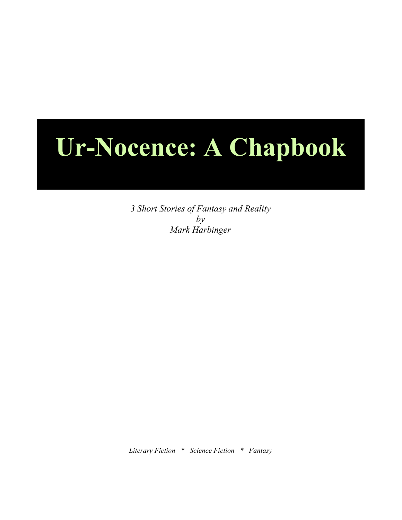## **Ur-Nocence: A Chapbook**

*3 Short Stories of Fantasy and Reality by Mark Harbinger*

*Literary Fiction \* Science Fiction \* Fantasy*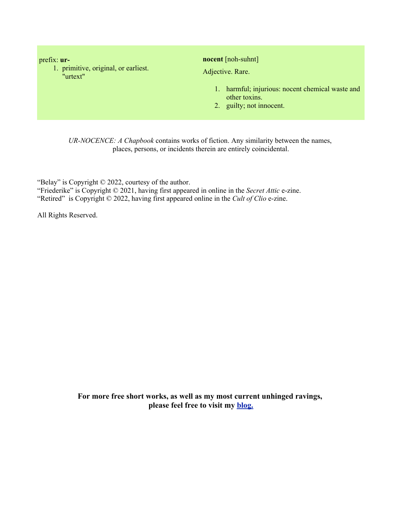prefix: **ur-**

1. primitive, original, or earliest. "urtext"

**nocent** [noh-suhnt]

Adjective. Rare.

- 1. harmful; injurious: nocent chemical waste and other toxins.
- 2. guilty; not innocent.

*UR-NOCENCE: A Chapbook* contains works of fiction. Any similarity between the names, places, persons, or incidents therein are entirely coincidental.

"Belay" is Copyright © 2022, courtesy of the author. "Friederike" is Copyright © 2021, having first appeared in online in the *Secret Attic* e-zine. "Retired" is Copyright © 2022, having first appeared online in the *Cult of Clio* e-zine.

All Rights Reserved.

**For more free short works, as well as my most current unhinged ravings, please feel free to visit my blog.**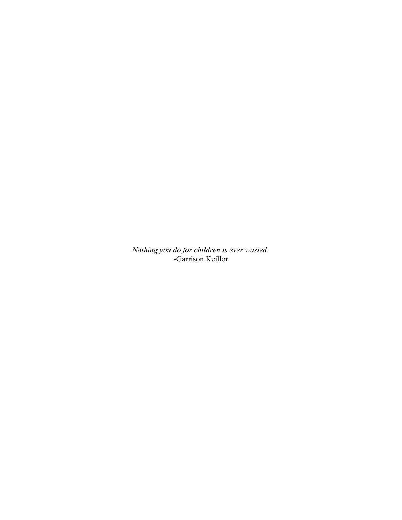*Nothing you do for children is ever wasted.* -Garrison Keillor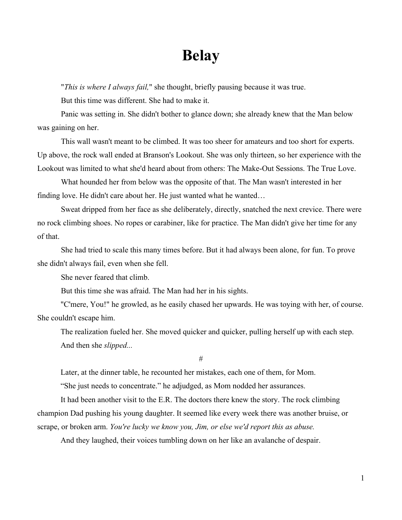## **Belay**

"*This is where I always fail,*" she thought, briefly pausing because it was true.

But this time was different. She had to make it.

Panic was setting in. She didn't bother to glance down; she already knew that the Man below was gaining on her.

This wall wasn't meant to be climbed. It was too sheer for amateurs and too short for experts. Up above, the rock wall ended at Branson's Lookout. She was only thirteen, so her experience with the Lookout was limited to what she'd heard about from others: The Make-Out Sessions. The True Love.

What hounded her from below was the opposite of that. The Man wasn't interested in her finding love. He didn't care about her. He just wanted what he wanted…

Sweat dripped from her face as she deliberately, directly, snatched the next crevice. There were no rock climbing shoes. No ropes or carabiner, like for practice. The Man didn't give her time for any of that.

She had tried to scale this many times before. But it had always been alone, for fun. To prove she didn't always fail, even when she fell.

She never feared that climb.

But this time she was afraid. The Man had her in his sights.

"C'mere, You!" he growled, as he easily chased her upwards. He was toying with her, of course. She couldn't escape him.

The realization fueled her. She moved quicker and quicker, pulling herself up with each step. And then she *slipped...*

#

Later, at the dinner table, he recounted her mistakes, each one of them, for Mom.

"She just needs to concentrate." he adjudged, as Mom nodded her assurances.

It had been another visit to the E.R. The doctors there knew the story. The rock climbing champion Dad pushing his young daughter. It seemed like every week there was another bruise, or scrape, or broken arm. *You're lucky we know you, Jim, or else we'd report this as abuse.*

And they laughed, their voices tumbling down on her like an avalanche of despair.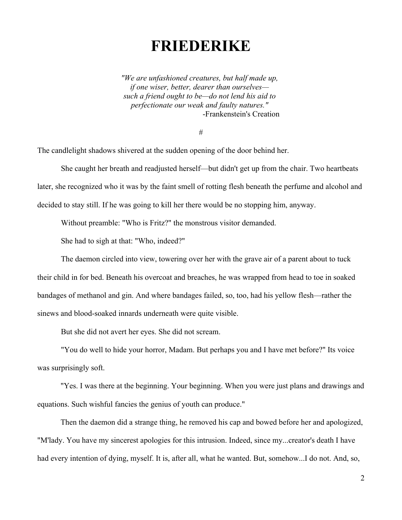## **FRIEDERIKE**

*"We are unfashioned creatures, but half made up, if one wiser, better, dearer than ourselves such a friend ought to be—do not lend his aid to perfectionate our weak and faulty natures."*  -Frankenstein's Creation

#

The candlelight shadows shivered at the sudden opening of the door behind her.

She caught her breath and readjusted herself—but didn't get up from the chair. Two heartbeats later, she recognized who it was by the faint smell of rotting flesh beneath the perfume and alcohol and decided to stay still. If he was going to kill her there would be no stopping him, anyway.

Without preamble: "Who is Fritz?" the monstrous visitor demanded.

She had to sigh at that: "Who, indeed?"

The daemon circled into view, towering over her with the grave air of a parent about to tuck their child in for bed. Beneath his overcoat and breaches, he was wrapped from head to toe in soaked bandages of methanol and gin. And where bandages failed, so, too, had his yellow flesh—rather the sinews and blood-soaked innards underneath were quite visible.

But she did not avert her eyes. She did not scream.

"You do well to hide your horror, Madam. But perhaps you and I have met before?" Its voice was surprisingly soft.

"Yes. I was there at the beginning. Your beginning. When you were just plans and drawings and equations. Such wishful fancies the genius of youth can produce."

Then the daemon did a strange thing, he removed his cap and bowed before her and apologized, "M'lady. You have my sincerest apologies for this intrusion. Indeed, since my...creator's death I have had every intention of dying, myself. It is, after all, what he wanted. But, somehow...I do not. And, so,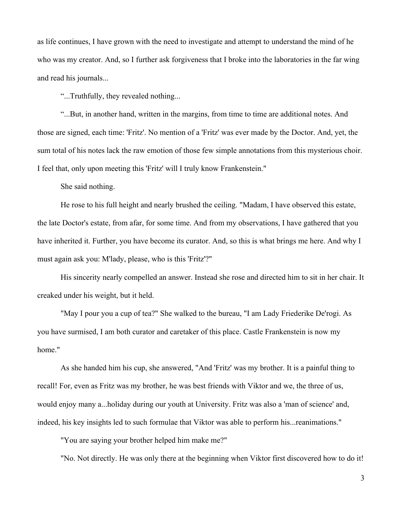as life continues, I have grown with the need to investigate and attempt to understand the mind of he who was my creator. And, so I further ask forgiveness that I broke into the laboratories in the far wing and read his journals...

"...Truthfully, they revealed nothing...

"...But, in another hand, written in the margins, from time to time are additional notes. And those are signed, each time: 'Fritz'. No mention of a 'Fritz' was ever made by the Doctor. And, yet, the sum total of his notes lack the raw emotion of those few simple annotations from this mysterious choir. I feel that, only upon meeting this 'Fritz' will I truly know Frankenstein."

She said nothing.

He rose to his full height and nearly brushed the ceiling. "Madam, I have observed this estate, the late Doctor's estate, from afar, for some time. And from my observations, I have gathered that you have inherited it. Further, you have become its curator. And, so this is what brings me here. And why I must again ask you: M'lady, please, who is this 'Fritz'?"

His sincerity nearly compelled an answer. Instead she rose and directed him to sit in her chair. It creaked under his weight, but it held.

"May I pour you a cup of tea?" She walked to the bureau, "I am Lady Friederike De'rogi. As you have surmised, I am both curator and caretaker of this place. Castle Frankenstein is now my home."

As she handed him his cup, she answered, "And 'Fritz' was my brother. It is a painful thing to recall! For, even as Fritz was my brother, he was best friends with Viktor and we, the three of us, would enjoy many a...holiday during our youth at University. Fritz was also a 'man of science' and, indeed, his key insights led to such formulae that Viktor was able to perform his...reanimations."

"You are saying your brother helped him make me?"

"No. Not directly. He was only there at the beginning when Viktor first discovered how to do it!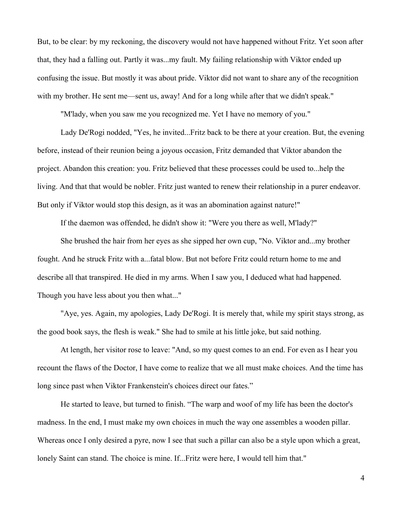But, to be clear: by my reckoning, the discovery would not have happened without Fritz. Yet soon after that, they had a falling out. Partly it was...my fault. My failing relationship with Viktor ended up confusing the issue. But mostly it was about pride. Viktor did not want to share any of the recognition with my brother. He sent me—sent us, away! And for a long while after that we didn't speak."

"M'lady, when you saw me you recognized me. Yet I have no memory of you."

Lady De'Rogi nodded, "Yes, he invited...Fritz back to be there at your creation. But, the evening before, instead of their reunion being a joyous occasion, Fritz demanded that Viktor abandon the project. Abandon this creation: you. Fritz believed that these processes could be used to...help the living. And that that would be nobler. Fritz just wanted to renew their relationship in a purer endeavor. But only if Viktor would stop this design, as it was an abomination against nature!"

If the daemon was offended, he didn't show it: "Were you there as well, M'lady?"

She brushed the hair from her eyes as she sipped her own cup, "No. Viktor and...my brother fought. And he struck Fritz with a...fatal blow. But not before Fritz could return home to me and describe all that transpired. He died in my arms. When I saw you, I deduced what had happened. Though you have less about you then what..."

"Aye, yes. Again, my apologies, Lady De'Rogi. It is merely that, while my spirit stays strong, as the good book says, the flesh is weak." She had to smile at his little joke, but said nothing.

At length, her visitor rose to leave: "And, so my quest comes to an end. For even as I hear you recount the flaws of the Doctor, I have come to realize that we all must make choices. And the time has long since past when Viktor Frankenstein's choices direct our fates."

He started to leave, but turned to finish. "The warp and woof of my life has been the doctor's madness. In the end, I must make my own choices in much the way one assembles a wooden pillar. Whereas once I only desired a pyre, now I see that such a pillar can also be a style upon which a great, lonely Saint can stand. The choice is mine. If...Fritz were here, I would tell him that."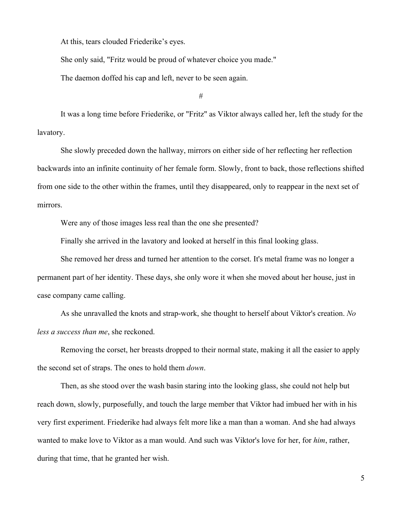At this, tears clouded Friederike's eyes.

She only said, "Fritz would be proud of whatever choice you made."

The daemon doffed his cap and left, never to be seen again.

#

It was a long time before Friederike, or "Fritz" as Viktor always called her, left the study for the lavatory.

She slowly preceded down the hallway, mirrors on either side of her reflecting her reflection backwards into an infinite continuity of her female form. Slowly, front to back, those reflections shifted from one side to the other within the frames, until they disappeared, only to reappear in the next set of mirrors.

Were any of those images less real than the one she presented?

Finally she arrived in the lavatory and looked at herself in this final looking glass.

She removed her dress and turned her attention to the corset. It's metal frame was no longer a permanent part of her identity. These days, she only wore it when she moved about her house, just in case company came calling.

As she unravalled the knots and strap-work, she thought to herself about Viktor's creation. *No less a success than me*, she reckoned.

Removing the corset, her breasts dropped to their normal state, making it all the easier to apply the second set of straps. The ones to hold them *down*.

Then, as she stood over the wash basin staring into the looking glass, she could not help but reach down, slowly, purposefully, and touch the large member that Viktor had imbued her with in his very first experiment. Friederike had always felt more like a man than a woman. And she had always wanted to make love to Viktor as a man would. And such was Viktor's love for her, for *him*, rather, during that time, that he granted her wish.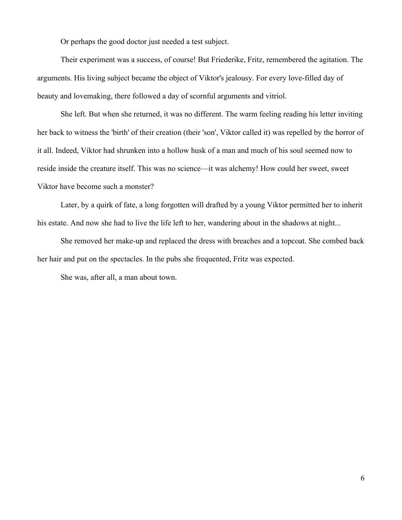Or perhaps the good doctor just needed a test subject.

Their experiment was a success, of course! But Friederike, Fritz, remembered the agitation. The arguments. His living subject became the object of Viktor's jealousy. For every love-filled day of beauty and lovemaking, there followed a day of scornful arguments and vitriol.

She left. But when she returned, it was no different. The warm feeling reading his letter inviting her back to witness the 'birth' of their creation (their 'son', Viktor called it) was repelled by the horror of it all. Indeed, Viktor had shrunken into a hollow husk of a man and much of his soul seemed now to reside inside the creature itself. This was no science—it was alchemy! How could her sweet, sweet Viktor have become such a monster?

Later, by a quirk of fate, a long forgotten will drafted by a young Viktor permitted her to inherit his estate. And now she had to live the life left to her, wandering about in the shadows at night...

She removed her make-up and replaced the dress with breaches and a topcoat. She combed back her hair and put on the spectacles. In the pubs she frequented, Fritz was expected.

She was, after all, a man about town.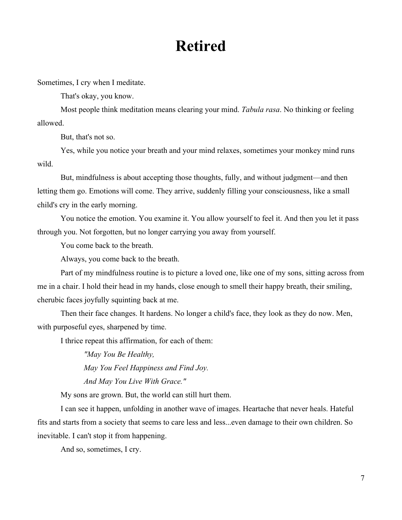## **Retired**

Sometimes, I cry when I meditate.

That's okay, you know.

Most people think meditation means clearing your mind. *Tabula rasa*. No thinking or feeling allowed.

But, that's not so.

Yes, while you notice your breath and your mind relaxes, sometimes your monkey mind runs wild.

But, mindfulness is about accepting those thoughts, fully, and without judgment—and then letting them go. Emotions will come. They arrive, suddenly filling your consciousness, like a small child's cry in the early morning.

You notice the emotion. You examine it. You allow yourself to feel it. And then you let it pass through you. Not forgotten, but no longer carrying you away from yourself.

You come back to the breath.

Always, you come back to the breath.

Part of my mindfulness routine is to picture a loved one, like one of my sons, sitting across from me in a chair. I hold their head in my hands, close enough to smell their happy breath, their smiling, cherubic faces joyfully squinting back at me.

Then their face changes. It hardens. No longer a child's face, they look as they do now. Men, with purposeful eyes, sharpened by time.

I thrice repeat this affirmation, for each of them:

*"May You Be Healthy, May You Feel Happiness and Find Joy. And May You Live With Grace."*

My sons are grown. But, the world can still hurt them.

I can see it happen, unfolding in another wave of images. Heartache that never heals. Hateful fits and starts from a society that seems to care less and less...even damage to their own children. So inevitable. I can't stop it from happening.

And so, sometimes, I cry.